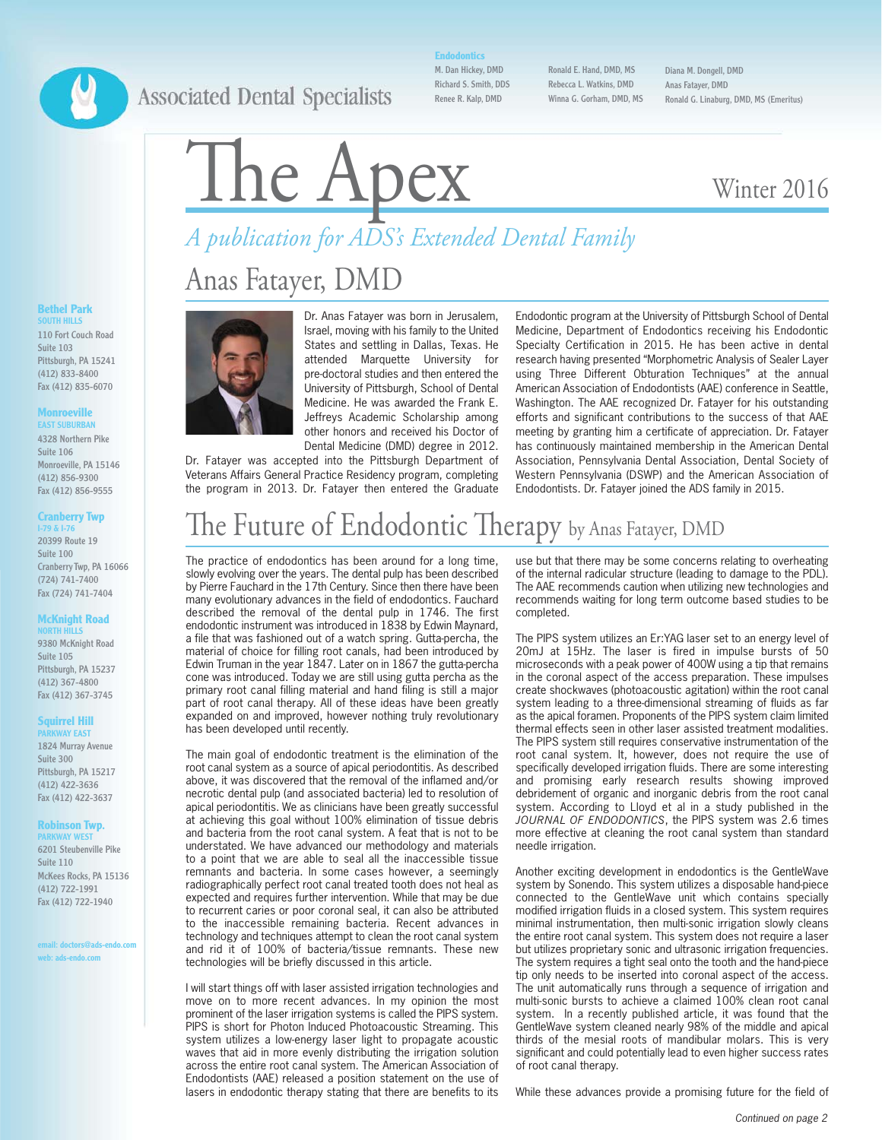### **Associated Dental Specialists**

**Endodontics**

M. Dan Hickey, DMD Richard S. Smith, DDS Renee R. Kalp, DMD

Ronald E. Hand, DMD, MS Rebecca L. Watkins, DMD Winna G. Gorham, DMD, MS Diana M. Dongell, DMD Anas Fatayer, DMD Ronald G. Linaburg, DMD, MS (Emeritus)

# *A publication for ADS's Extended Dental Family* The Apex Winter 2016

## Anas Fatayer, DMD



Dr. Anas Fatayer was born in Jerusalem, Israel, moving with his family to the United States and settling in Dallas, Texas. He attended Marquette University for pre-doctoral studies and then entered the University of Pittsburgh, School of Dental Medicine. He was awarded the Frank E. Jeffreys Academic Scholarship among other honors and received his Doctor of Dental Medicine (DMD) degree in 2012.

Dr. Fatayer was accepted into the Pittsburgh Department of Veterans Affairs General Practice Residency program, completing the program in 2013. Dr. Fatayer then entered the Graduate Endodontic program at the University of Pittsburgh School of Dental Medicine, Department of Endodontics receiving his Endodontic Specialty Certification in 2015. He has been active in dental research having presented "Morphometric Analysis of Sealer Layer using Three Different Obturation Techniques" at the annual American Association of Endodontists (AAE) conference in Seattle, Washington. The AAE recognized Dr. Fatayer for his outstanding efforts and significant contributions to the success of that AAE meeting by granting him a certificate of appreciation. Dr. Fatayer has continuously maintained membership in the American Dental Association, Pennsylvania Dental Association, Dental Society of Western Pennsylvania (DSWP) and the American Association of Endodontists. Dr. Fatayer joined the ADS family in 2015.

## The Future of Endodontic Therapy by Anas Fatayer, DMD

The practice of endodontics has been around for a long time, slowly evolving over the years. The dental pulp has been described by Pierre Fauchard in the 17th Century. Since then there have been many evolutionary advances in the field of endodontics. Fauchard described the removal of the dental pulp in 1746. The first endodontic instrument was introduced in 1838 by Edwin Maynard, a file that was fashioned out of a watch spring. Gutta-percha, the material of choice for filling root canals, had been introduced by Edwin Truman in the year 1847. Later on in 1867 the gutta-percha cone was introduced. Today we are still using gutta percha as the primary root canal filling material and hand filing is still a major part of root canal therapy. All of these ideas have been greatly expanded on and improved, however nothing truly revolutionary has been developed until recently.

The main goal of endodontic treatment is the elimination of the root canal system as a source of apical periodontitis. As described above, it was discovered that the removal of the inflamed and/or necrotic dental pulp (and associated bacteria) led to resolution of apical periodontitis. We as clinicians have been greatly successful at achieving this goal without 100% elimination of tissue debris and bacteria from the root canal system. A feat that is not to be understated. We have advanced our methodology and materials to a point that we are able to seal all the inaccessible tissue remnants and bacteria. In some cases however, a seemingly radiographically perfect root canal treated tooth does not heal as expected and requires further intervention. While that may be due to recurrent caries or poor coronal seal, it can also be attributed to the inaccessible remaining bacteria. Recent advances in technology and techniques attempt to clean the root canal system and rid it of 100% of bacteria/tissue remnants. These new technologies will be briefly discussed in this article.

I will start things off with laser assisted irrigation technologies and move on to more recent advances. In my opinion the most prominent of the laser irrigation systems is called the PIPS system. PIPS is short for Photon Induced Photoacoustic Streaming. This system utilizes a low-energy laser light to propagate acoustic waves that aid in more evenly distributing the irrigation solution across the entire root canal system. The American Association of Endodontists (AAE) released a position statement on the use of lasers in endodontic therapy stating that there are benefits to its use but that there may be some concerns relating to overheating of the internal radicular structure (leading to damage to the PDL). The AAE recommends caution when utilizing new technologies and recommends waiting for long term outcome based studies to be completed.

The PIPS system utilizes an Er:YAG laser set to an energy level of 20mJ at 15Hz. The laser is fired in impulse bursts of 50 microseconds with a peak power of 400W using a tip that remains in the coronal aspect of the access preparation. These impulses create shockwaves (photoacoustic agitation) within the root canal system leading to a three-dimensional streaming of fluids as far as the apical foramen. Proponents of the PIPS system claim limited thermal effects seen in other laser assisted treatment modalities. The PIPS system still requires conservative instrumentation of the root canal system. It, however, does not require the use of specifically developed irrigation fluids. There are some interesting and promising early research results showing improved debridement of organic and inorganic debris from the root canal system. According to Lloyd et al in a study published in the *JOURNAL OF ENDODONTICS*, the PIPS system was 2.6 times more effective at cleaning the root canal system than standard needle irrigation.

Another exciting development in endodontics is the GentleWave system by Sonendo. This system utilizes a disposable hand-piece connected to the GentleWave unit which contains specially modified irrigation fluids in a closed system. This system requires minimal instrumentation, then multi-sonic irrigation slowly cleans the entire root canal system. This system does not require a laser but utilizes proprietary sonic and ultrasonic irrigation frequencies. The system requires a tight seal onto the tooth and the hand-piece tip only needs to be inserted into coronal aspect of the access. The unit automatically runs through a sequence of irrigation and multi-sonic bursts to achieve a claimed 100% clean root canal system. In a recently published article, it was found that the GentleWave system cleaned nearly 98% of the middle and apical thirds of the mesial roots of mandibular molars. This is very significant and could potentially lead to even higher success rates of root canal therapy.

While these advances provide a promising future for the field of

#### **Bethel Park SOUTH HILLS**

110 Fort Couch Road Suite 103 Pittsburgh, PA 15241 (412) 833-8400 Fax (412) 835-6070

#### **Monroeville EAST SUBURBAN**

4328 Northern Pike Suite 106 Monroeville, PA 15146 (412) 856-9300 Fax (412) 856-9555

### **Cranberry Twp I-79 & I-76**

20399 Route 19 Suite 100 Cranberry Twp, PA 16066 (724) 741-7400 Fax (724) 741-7404

#### **McKnight Road**

**NORTH HILLS** 9380 McKnight Road Suite 105 Pittsburgh, PA 15237 (412) 367-4800 Fax (412) 367-3745

#### **Squirrel Hill**

**WAY EAST** 1824 Murray Avenue Suite 300 Pittsburgh, PA 15217 (412) 422-3636 Fax (412) 422-3637

#### **Robinson Twp. WAY WEST**

6201 Steubenville Pike Suite 110 McKees Rocks, PA 15136 (412) 722-1991 Fax (412) 722-1940

**email: doctors@ads-endo.com web: ads-endo.com**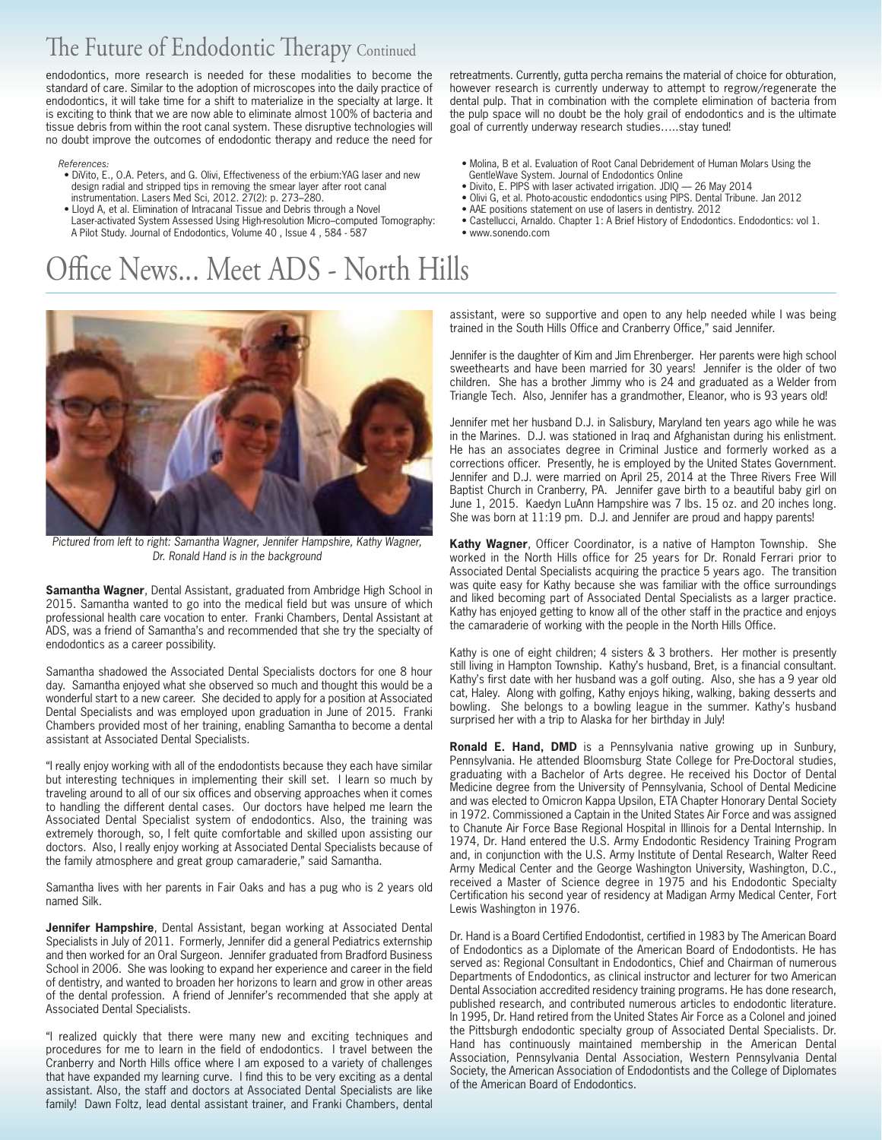### The Future of Endodontic Therapy Continued

endodontics, more research is needed for these modalities to become the standard of care. Similar to the adoption of microscopes into the daily practice of endodontics, it will take time for a shift to materialize in the specialty at large. It is exciting to think that we are now able to eliminate almost 100% of bacteria and tissue debris from within the root canal system. These disruptive technologies will no doubt improve the outcomes of endodontic therapy and reduce the need for

#### *References:*

- DiVito, E., O.A. Peters, and G. Olivi, Effectiveness of the erbium:YAG laser and new design radial and stripped tips in removing the smear layer after root canal instrumentation. Lasers Med Sci, 2012. 27(2): p. 273–280.
- Lloyd A, et al. Elimination of Intracanal Tissue and Debris through a Novel
- Laser-activated System Assessed Using High-resolution Micro–computed Tomography: A Pilot Study. Journal of Endodontics, Volume 40 , Issue 4 , 584 - 587

### Office News... Meet ADS - North Hills



Pictured from left to right: Samantha Wagner, Jennifer Hampshire, Kathy Wagner, Dr. Ronald Hand is in the background

**Samantha Wagner**, Dental Assistant, graduated from Ambridge High School in 2015. Samantha wanted to go into the medical field but was unsure of which professional health care vocation to enter. Franki Chambers, Dental Assistant at ADS, was a friend of Samantha's and recommended that she try the specialty of endodontics as a career possibility.

Samantha shadowed the Associated Dental Specialists doctors for one 8 hour day. Samantha enjoyed what she observed so much and thought this would be a wonderful start to a new career. She decided to apply for a position at Associated Dental Specialists and was employed upon graduation in June of 2015. Franki Chambers provided most of her training, enabling Samantha to become a dental assistant at Associated Dental Specialists.

"I really enjoy working with all of the endodontists because they each have similar but interesting techniques in implementing their skill set. I learn so much by traveling around to all of our six offices and observing approaches when it comes to handling the different dental cases. Our doctors have helped me learn the Associated Dental Specialist system of endodontics. Also, the training was extremely thorough, so, I felt quite comfortable and skilled upon assisting our doctors. Also, I really enjoy working at Associated Dental Specialists because of the family atmosphere and great group camaraderie," said Samantha.

Samantha lives with her parents in Fair Oaks and has a pug who is 2 years old named Silk.

**Jennifer Hampshire**, Dental Assistant, began working at Associated Dental Specialists in July of 2011. Formerly, Jennifer did a general Pediatrics externship and then worked for an Oral Surgeon. Jennifer graduated from Bradford Business School in 2006. She was looking to expand her experience and career in the field of dentistry, and wanted to broaden her horizons to learn and grow in other areas of the dental profession. A friend of Jennifer's recommended that she apply at Associated Dental Specialists.

"I realized quickly that there were many new and exciting techniques and procedures for me to learn in the field of endodontics. I travel between the Cranberry and North Hills office where I am exposed to a variety of challenges that have expanded my learning curve. I find this to be very exciting as a dental assistant. Also, the staff and doctors at Associated Dental Specialists are like family! Dawn Foltz, lead dental assistant trainer, and Franki Chambers, dental

retreatments. Currently, gutta percha remains the material of choice for obturation, however research is currently underway to attempt to regrow/regenerate the dental pulp. That in combination with the complete elimination of bacteria from the pulp space will no doubt be the holy grail of endodontics and is the ultimate goal of currently underway research studies…..stay tuned!

- Molina, B et al. Evaluation of Root Canal Debridement of Human Molars Using the GentleWave System. Journal of Endodontics Online
- Divito, E. PIPS with laser activated irrigation. JDIQ 26 May 2014
- Olivi G, et al. Photo-acoustic endodontics using PIPS. Dental Tribune. Jan 2012
- AAE positions statement on use of lasers in dentistry. 2012
- Castellucci, Arnaldo. Chapter 1: A Brief History of Endodontics. Endodontics: vol 1.
- www.sonendo.com

assistant, were so supportive and open to any help needed while I was being trained in the South Hills Office and Cranberry Office," said Jennifer.

Jennifer is the daughter of Kim and Jim Ehrenberger. Her parents were high school sweethearts and have been married for 30 years! Jennifer is the older of two children. She has a brother Jimmy who is 24 and graduated as a Welder from Triangle Tech. Also, Jennifer has a grandmother, Eleanor, who is 93 years old!

Jennifer met her husband D.J. in Salisbury, Maryland ten years ago while he was in the Marines. D.J. was stationed in Iraq and Afghanistan during his enlistment. He has an associates degree in Criminal Justice and formerly worked as a corrections officer. Presently, he is employed by the United States Government. Jennifer and D.J. were married on April 25, 2014 at the Three Rivers Free Will Baptist Church in Cranberry, PA. Jennifer gave birth to a beautiful baby girl on June 1, 2015. Kaedyn LuAnn Hampshire was 7 lbs. 15 oz. and 20 inches long. She was born at 11:19 pm. D.J. and Jennifer are proud and happy parents!

**Kathy Wagner**, Officer Coordinator, is a native of Hampton Township. She worked in the North Hills office for 25 years for Dr. Ronald Ferrari prior to Associated Dental Specialists acquiring the practice 5 years ago. The transition was quite easy for Kathy because she was familiar with the office surroundings and liked becoming part of Associated Dental Specialists as a larger practice. Kathy has enjoyed getting to know all of the other staff in the practice and enjoys the camaraderie of working with the people in the North Hills Office.

Kathy is one of eight children; 4 sisters & 3 brothers. Her mother is presently still living in Hampton Township. Kathy's husband, Bret, is a financial consultant. Kathy's first date with her husband was a golf outing. Also, she has a 9 year old cat, Haley. Along with golfing, Kathy enjoys hiking, walking, baking desserts and bowling. She belongs to a bowling league in the summer. Kathy's husband surprised her with a trip to Alaska for her birthday in July!

**Ronald E. Hand, DMD** is a Pennsylvania native growing up in Sunbury, Pennsylvania. He attended Bloomsburg State College for Pre-Doctoral studies, graduating with a Bachelor of Arts degree. He received his Doctor of Dental Medicine degree from the University of Pennsylvania, School of Dental Medicine and was elected to Omicron Kappa Upsilon, ETA Chapter Honorary Dental Society in 1972. Commissioned a Captain in the United States Air Force and was assigned to Chanute Air Force Base Regional Hospital in Illinois for a Dental Internship. In 1974, Dr. Hand entered the U.S. Army Endodontic Residency Training Program and, in conjunction with the U.S. Army Institute of Dental Research, Walter Reed Army Medical Center and the George Washington University, Washington, D.C., received a Master of Science degree in 1975 and his Endodontic Specialty Certification his second year of residency at Madigan Army Medical Center, Fort Lewis Washington in 1976.

Dr. Hand is a Board Certified Endodontist, certified in 1983 by The American Board of Endodontics as a Diplomate of the American Board of Endodontists. He has served as: Regional Consultant in Endodontics, Chief and Chairman of numerous Departments of Endodontics, as clinical instructor and lecturer for two American Dental Association accredited residency training programs. He has done research, published research, and contributed numerous articles to endodontic literature. In 1995, Dr. Hand retired from the United States Air Force as a Colonel and joined the Pittsburgh endodontic specialty group of Associated Dental Specialists. Dr. Hand has continuously maintained membership in the American Dental Association, Pennsylvania Dental Association, Western Pennsylvania Dental Society, the American Association of Endodontists and the College of Diplomates of the American Board of Endodontics.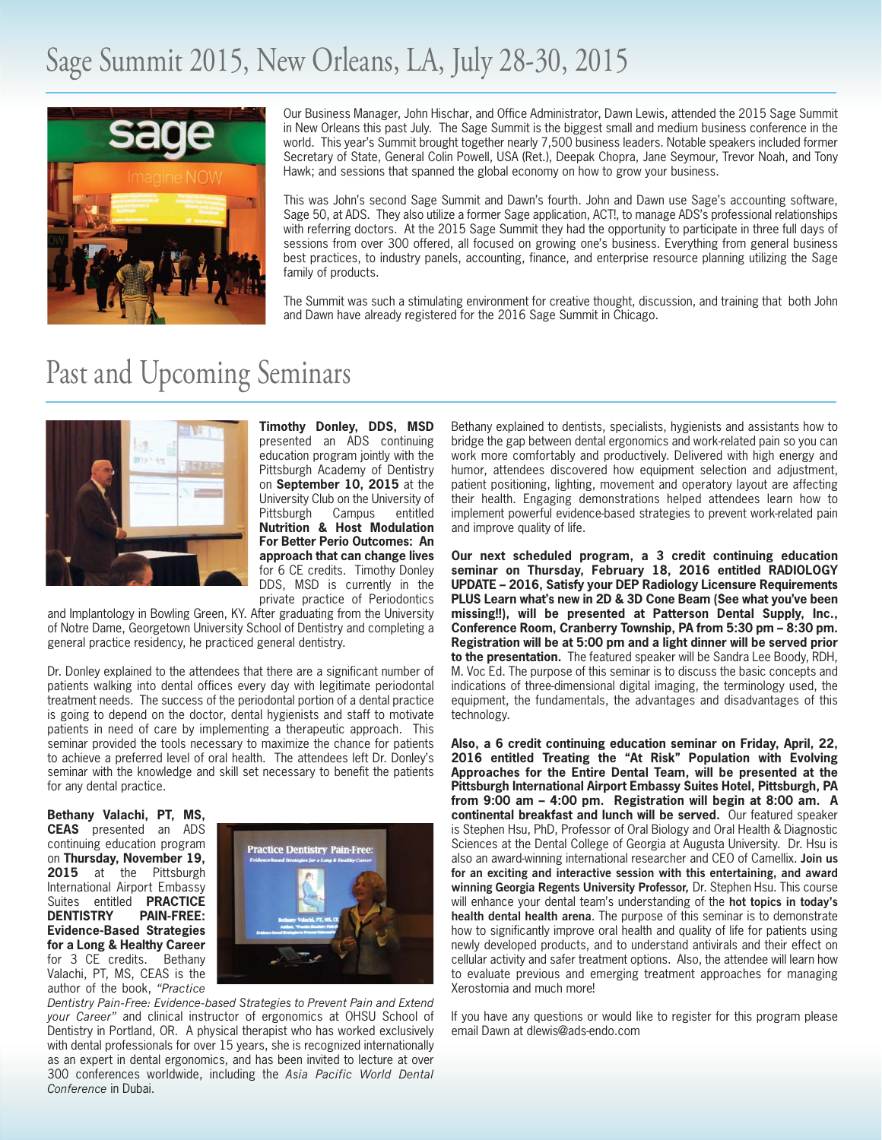### Sage Summit 2015, New Orleans, LA, July 28-30, 2015



Our Business Manager, John Hischar, and Office Administrator, Dawn Lewis, attended the 2015 Sage Summit in New Orleans this past July. The Sage Summit is the biggest small and medium business conference in the world. This year's Summit brought together nearly 7,500 business leaders. Notable speakers included former Secretary of State, General Colin Powell, USA (Ret.), Deepak Chopra, Jane Seymour, Trevor Noah, and Tony Hawk; and sessions that spanned the global economy on how to grow your business.

This was John's second Sage Summit and Dawn's fourth. John and Dawn use Sage's accounting software, Sage 50, at ADS. They also utilize a former Sage application, ACT!, to manage ADS's professional relationships with referring doctors. At the 2015 Sage Summit they had the opportunity to participate in three full days of sessions from over 300 offered, all focused on growing one's business. Everything from general business best practices, to industry panels, accounting, finance, and enterprise resource planning utilizing the Sage family of products.

The Summit was such a stimulating environment for creative thought, discussion, and training that both John and Dawn have already registered for the 2016 Sage Summit in Chicago.

### Past and Upcoming Seminars



**Timothy Donley, DDS, MSD** presented an ADS continuing education program jointly with the Pittsburgh Academy of Dentistry on **September 10, 2015** at the University Club on the University of<br>Pittsburgh Campus entitled Pittsburgh Campus entitled **Nutrition & Host Modulation For Better Perio Outcomes: An approach that can change lives** for 6 CE credits. Timothy Donley DDS, MSD is currently in the private practice of Periodontics

and Implantology in Bowling Green, KY. After graduating from the University of Notre Dame, Georgetown University School of Dentistry and completing a general practice residency, he practiced general dentistry.

Dr. Donley explained to the attendees that there are a significant number of patients walking into dental offices every day with legitimate periodontal treatment needs. The success of the periodontal portion of a dental practice is going to depend on the doctor, dental hygienists and staff to motivate patients in need of care by implementing a therapeutic approach. This seminar provided the tools necessary to maximize the chance for patients to achieve a preferred level of oral health. The attendees left Dr. Donley's seminar with the knowledge and skill set necessary to benefit the patients for any dental practice.

**Bethany Valachi, PT, MS, CEAS** presented an ADS continuing education program on **Thursday, November 19,** 2015 at the Pittsburgh International Airport Embassy Suites entitled **PRACTICE DENTISTRY PAIN-FREE: Evidence-Based Strategies for a Long & Healthy Career** for 3 CE credits. Bethany Valachi, PT, MS, CEAS is the author of the book, *"Practice*



*Dentistry Pain-Free: Evidence-based Strategies to Prevent Pain and Extend your Career"* and clinical instructor of ergonomics at OHSU School of Dentistry in Portland, OR. A physical therapist who has worked exclusively with dental professionals for over 15 years, she is recognized internationally as an expert in dental ergonomics, and has been invited to lecture at over 300 conferences worldwide, including the *Asia Pacific World Dental Conference* in Dubai.

Bethany explained to dentists, specialists, hygienists and assistants how to bridge the gap between dental ergonomics and work-related pain so you can work more comfortably and productively. Delivered with high energy and humor, attendees discovered how equipment selection and adjustment, patient positioning, lighting, movement and operatory layout are affecting their health. Engaging demonstrations helped attendees learn how to implement powerful evidence-based strategies to prevent work-related pain and improve quality of life.

**Our next scheduled program, a 3 credit continuing education seminar on Thursday, February 18, 2016 entitled RADIOLOGY UPDATE – 2016, Satisfy your DEP Radiology Licensure Requirements PLUS Learn what's new in 2D & 3D Cone Beam (See what you've been missing!!), will be presented at Patterson Dental Supply, Inc., Conference Room, Cranberry Township, PA from 5:30 pm – 8:30 pm. Registration will be at 5:00 pm and a light dinner will be served prior to the presentation.** The featured speaker will be Sandra Lee Boody, RDH, M. Voc Ed. The purpose of this seminar is to discuss the basic concepts and indications of three-dimensional digital imaging, the terminology used, the equipment, the fundamentals, the advantages and disadvantages of this technology.

**Also, a 6 credit continuing education seminar on Friday, April, 22, 2016 entitled Treating the "At Risk" Population with Evolving Approaches for the Entire Dental Team, will be presented at the Pittsburgh International Airport Embassy Suites Hotel, Pittsburgh, PA from 9:00 am – 4:00 pm. Registration will begin at 8:00 am. A continental breakfast and lunch will be served.** Our featured speaker is Stephen Hsu, PhD, Professor of Oral Biology and Oral Health & Diagnostic Sciences at the Dental College of Georgia at Augusta University. Dr. Hsu is also an award-winning international researcher and CEO of Camellix. **Join us for an exciting and interactive session with this entertaining, and award winning Georgia Regents University Professor***,* Dr. Stephen Hsu. This course will enhance your dental team's understanding of the **hot topics in today's health dental health arena**. The purpose of this seminar is to demonstrate how to significantly improve oral health and quality of life for patients using newly developed products, and to understand antivirals and their effect on cellular activity and safer treatment options. Also, the attendee will learn how to evaluate previous and emerging treatment approaches for managing Xerostomia and much more!

If you have any questions or would like to register for this program please email Dawn at dlewis@ads-endo.com